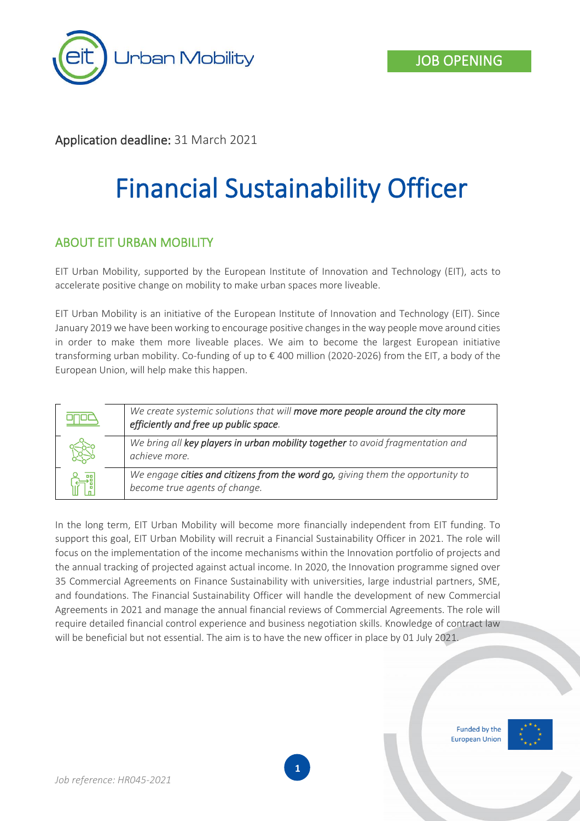

## Application deadline: 31 March 2021

# Financial Sustainability Officer

#### ABOUT EIT URBAN MOBILITY

EIT Urban Mobility, supported by the European Institute of Innovation and Technology (EIT), acts to accelerate positive change on mobility to make urban spaces more liveable.

EIT Urban Mobility is an initiative of the European Institute of Innovation and Technology (EIT). Since January 2019 we have been working to encourage positive changes in the way people move around cities in order to make them more liveable places. We aim to become the largest European initiative transforming urban mobility. Co-funding of up to € 400 million (2020-2026) from the EIT, a body of the European Union, will help make this happen.



In the long term, EIT Urban Mobility will become more financially independent from EIT funding. To support this goal, EIT Urban Mobility will recruit a Financial Sustainability Officer in 2021. The role will focus on the implementation of the income mechanisms within the Innovation portfolio of projects and the annual tracking of projected against actual income. In 2020, the Innovation programme signed over 35 Commercial Agreements on Finance Sustainability with universities, large industrial partners, SME, and foundations. The Financial Sustainability Officer will handle the development of new Commercial Agreements in 2021 and manage the annual financial reviews of Commercial Agreements. The role will require detailed financial control experience and business negotiation skills. Knowledge of contract law will be beneficial but not essential. The aim is to have the new officer in place by 01 July 2021.

> Funded by the **European Union**

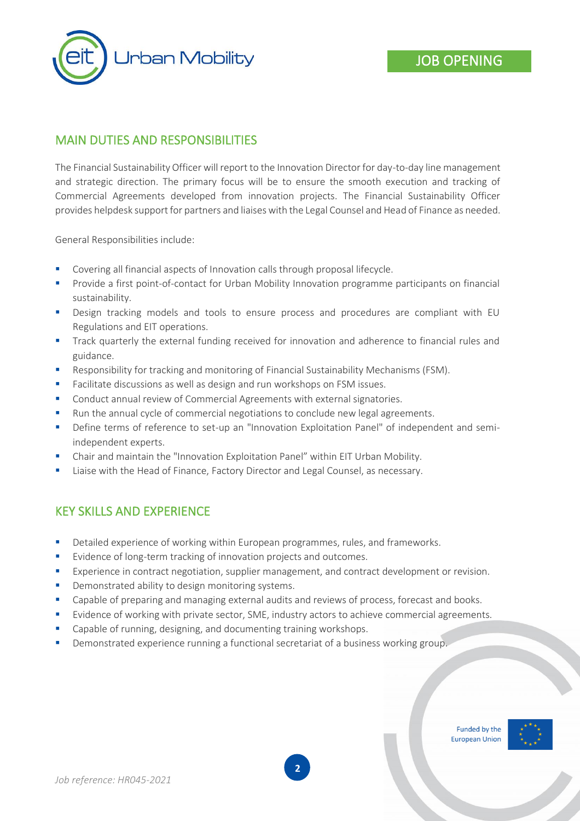

## MAIN DUTIES AND RESPONSIBILITIES

The Financial Sustainability Officer will report to the Innovation Director for day-to-day line management and strategic direction. The primary focus will be to ensure the smooth execution and tracking of Commercial Agreements developed from innovation projects. The Financial Sustainability Officer provides helpdesk support for partners and liaises with the Legal Counsel and Head of Finance as needed.

General Responsibilities include:

- Covering all financial aspects of Innovation calls through proposal lifecycle.
- Provide a first point-of-contact for Urban Mobility Innovation programme participants on financial sustainability.
- **•** Design tracking models and tools to ensure process and procedures are compliant with EU Regulations and EIT operations.
- **•** Track quarterly the external funding received for innovation and adherence to financial rules and guidance.
- Responsibility for tracking and monitoring of Financial Sustainability Mechanisms (FSM).
- Facilitate discussions as well as design and run workshops on FSM issues.
- Conduct annual review of Commercial Agreements with external signatories.
- Run the annual cycle of commercial negotiations to conclude new legal agreements.
- **•** Define terms of reference to set-up an "Innovation Exploitation Panel" of independent and semiindependent experts.
- Chair and maintain the "Innovation Exploitation Panel" within EIT Urban Mobility.
- Liaise with the Head of Finance, Factory Director and Legal Counsel, as necessary.

#### KEY SKILLS AND EXPERIENCE

- Detailed experience of working within European programmes, rules, and frameworks.
- Evidence of long-term tracking of innovation projects and outcomes.
- Experience in contract negotiation, supplier management, and contract development or revision.
- Demonstrated ability to design monitoring systems.
- Capable of preparing and managing external audits and reviews of process, forecast and books.
- Evidence of working with private sector, SME, industry actors to achieve commercial agreements.
- Capable of running, designing, and documenting training workshops.
- Demonstrated experience running a functional secretariat of a business working group.



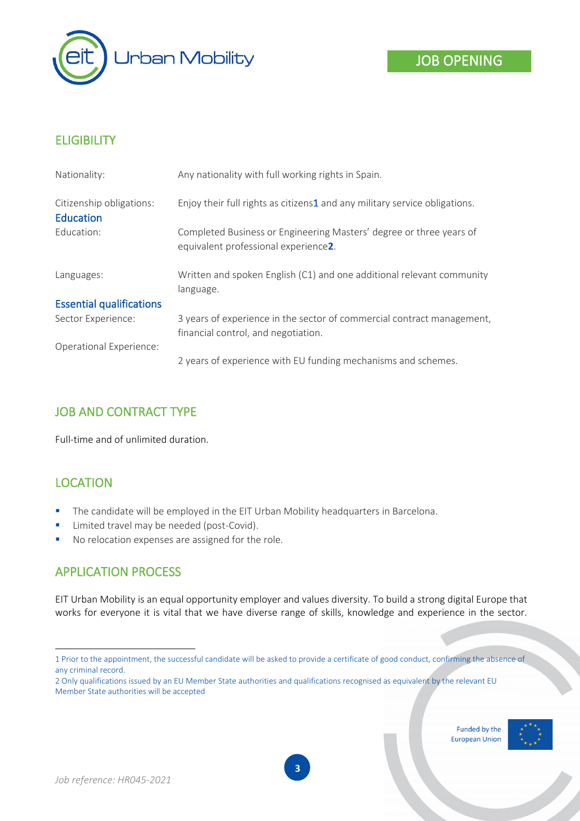

# **ELIGIBILITY**

| Nationality:                                 | Any nationality with full working rights in Spain.                                                            |
|----------------------------------------------|---------------------------------------------------------------------------------------------------------------|
| Citizenship obligations:<br><b>Education</b> | Enjoy their full rights as citizens1 and any military service obligations.                                    |
| Education:                                   | Completed Business or Engineering Masters' degree or three years of<br>equivalent professional experience2.   |
| Languages:                                   | Written and spoken English (C1) and one additional relevant community<br>language.                            |
| <b>Essential qualifications</b>              |                                                                                                               |
| Sector Experience:                           | 3 years of experience in the sector of commercial contract management,<br>financial control, and negotiation. |
| <b>Operational Experience:</b>               |                                                                                                               |
|                                              | 2 years of experience with EU funding mechanisms and schemes.                                                 |

# JOB AND CONTRACT TYPE

Full-time and of unlimited duration.

# LOCATION

- The candidate will be employed in the EIT Urban Mobility headquarters in Barcelona.
- **E** Limited travel may be needed (post-Covid).
- No relocation expenses are assigned for the role.

## APPLICATION PROCESS

EIT Urban Mobility is an equal opportunity employer and values diversity. To build a strong digital Europe that works for everyone it is vital that we have diverse range of skills, knowledge and experience in the sector.

Funded by the **European Union** 



<sup>1</sup> Prior to the appointment, the successful candidate will be asked to provide a certificate of good conduct, confirming the absence of any criminal record.

<sup>2</sup> Only qualifications issued by an EU Member State authorities and qualifications recognised as equivalent by the relevant EU Member State authorities will be accepted